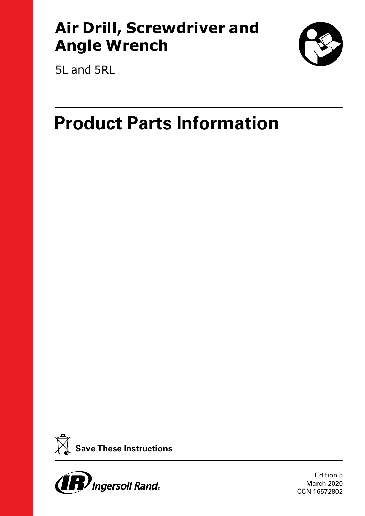## **Air Drill, Screwdriver and Angle Wrench**



5L and 5RL

# **Product Parts Information**





Edition 5 March 2020 CCN 16572802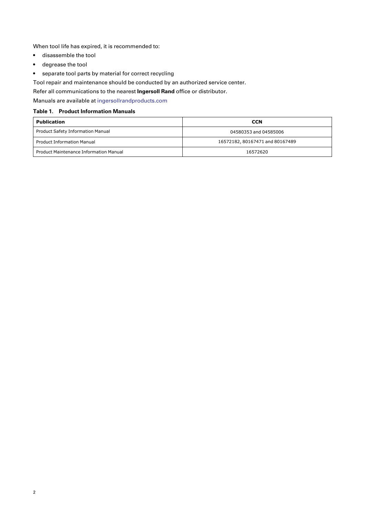When tool life has expired, it is recommended to:

- disassemble the tool
- degrease the tool
- separate tool parts by material for correct recycling

Tool repair and maintenance should be conducted by an authorized service center.

Refer all communications to the nearest **Ingersoll Rand** office or distributor.

Manuals are available at [ingersollrandproducts.com](www.ingersollrandproducts.com)

#### **Table 1. Product Information Manuals**

| <b>Publication</b>                            | <b>CCN</b>                      |  |  |
|-----------------------------------------------|---------------------------------|--|--|
| Product Safety Information Manual             | 04580353 and 04585006           |  |  |
| <b>Product Information Manual</b>             | 16572182, 80167471 and 80167489 |  |  |
| <b>Product Maintenance Information Manual</b> | 16572620                        |  |  |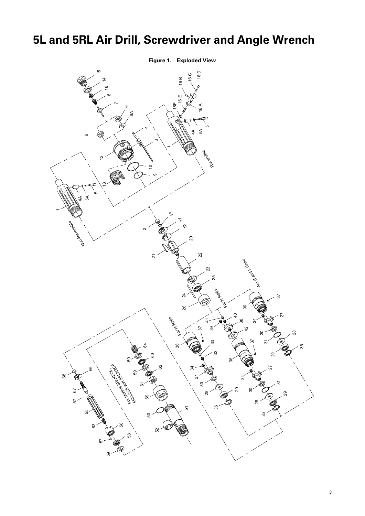## <span id="page-2-0"></span>**5L and 5RL Air Drill, Screwdriver and Angle Wrench**

**Figure 1. Exploded View**

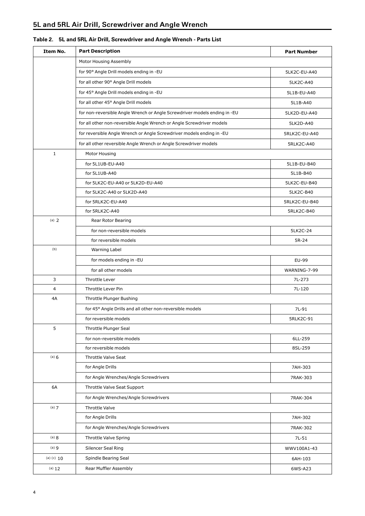<span id="page-3-2"></span><span id="page-3-1"></span><span id="page-3-0"></span>

| Item No.     | <b>Part Description</b>                                                   | <b>Part Number</b> |
|--------------|---------------------------------------------------------------------------|--------------------|
|              | Motor Housing Assembly                                                    |                    |
|              | for 90° Angle Drill models ending in -EU                                  | 5LK2C-EU-A40       |
|              | for all other 90° Angle Drill models                                      | 5LK2C-A40          |
|              | for 45° Angle Drill models ending in -EU                                  | 5L1B-EU-A40        |
|              | for all other 45° Angle Drill models                                      | 5L1B-A40           |
|              | for non-reversible Angle Wrench or Angle Screwdriver models ending in -EU | 5LK2D-EU-A40       |
|              | for all other non-reversible Angle Wrench or Angle Screwdriver models     | 5LK2D-A40          |
|              | for reversible Angle Wrench or Angle Screwdriver models ending in -EU     | 5RLK2C-EU-A40      |
|              | for all other reversible Angle Wrench or Angle Screwdriver models         | 5RLK2C-A40         |
| $\mathbf{1}$ | Motor Housing                                                             |                    |
|              | for 5L1UB-EU-A40                                                          | 5L1B-EU-B40        |
|              | for 5L1UB-A40                                                             | 5L1B-B40           |
|              | for 5LK2C-EU-A40 or 5LK2D-EU-A40                                          | 5LK2C-EU-B40       |
|              | for 5LK2C-A40 or 5LK2D-A40                                                | 5LK2C-B40          |
|              | for 5RLK2C-EU-A40                                                         | 5RLK2C-EU-B40      |
|              | for 5RLK2C-A40                                                            | 5RLK2C-B40         |
| (a) $2$      | Rear Rotor Bearing                                                        |                    |
|              | for non-reversible models                                                 | 5LK2C-24           |
|              | for reversible models                                                     | 5R-24              |
| (b)          | Warning Label                                                             |                    |
|              | for models ending in -EU                                                  | EU-99              |
|              | for all other models                                                      | WARNING-7-99       |
| 3            | Throttle Lever                                                            | 7L-273             |
| 4            | Throttle Lever Pin                                                        | 7L-120             |
| 4A           | Throttle Plunger Bushing                                                  |                    |
|              | for 45° Angle Drills and all other non-reversible models                  | 7L-91              |
|              | for reversible models                                                     | 5RLK2C-91          |
| 5            | Throttle Plunger Seal                                                     |                    |
|              | for non-reversible models                                                 | 6LL-259            |
|              | for reversible models                                                     | 8SL-259            |
| (a) 6        | <b>Throttle Valve Seat</b>                                                |                    |
|              | for Angle Drills                                                          | 7AH-303            |
|              | for Angle Wrenches/Angle Screwdrivers                                     | 7RAK-303           |
| 6A           | Throttle Valve Seat Support                                               |                    |
|              | for Angle Wrenches/Angle Screwdrivers                                     | 7RAK-304           |
| (a) 7        | <b>Throttle Valve</b>                                                     |                    |
|              | for Angle Drills                                                          | 7AH-302            |
|              | for Angle Wrenches/Angle Screwdrivers                                     | 7RAK-302           |
| (a) 8        | Throttle Valve Spring                                                     | 7L-51              |
| (a) 9        | Silencer Seal Ring                                                        | WWV100A1-43        |
| (a) (c) $10$ | Spindle Bearing Seal                                                      | 6AH-103            |
| (a) 12       | Rear Muffler Assembly                                                     | 6WS-A23            |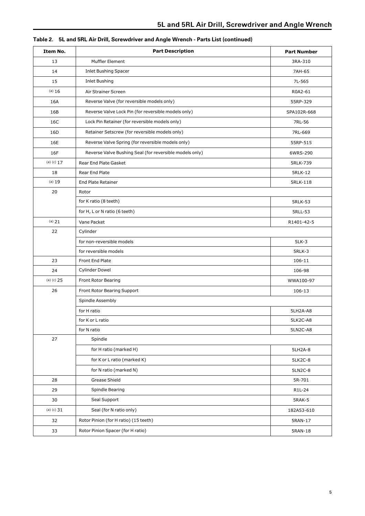| Item No.     | <b>Part Description</b>                                 | <b>Part Number</b> |
|--------------|---------------------------------------------------------|--------------------|
| 13           | Muffler Element                                         | 3RA-310            |
| 14           | <b>Inlet Bushing Spacer</b>                             | 7AH-65             |
| 15           | <b>Inlet Bushing</b>                                    | 7L-565             |
| (a) 16       | Air Strainer Screen                                     | R0A2-61            |
| 16A          | Reverse Valve (for reversible models only)              | 55RP-329           |
| 16B          | Reverse Valve Lock Pin (for reversible models only)     | SPA102R-668        |
| 16C          | Lock Pin Retainer (for reversible models only)          | 7RL-56             |
| 16D          | Retainer Setscrew (for reversible models only)          | 7RL-669            |
| 16E          | Reverse Valve Spring (for reversible models only)       | 55RP-515           |
| 16F          | Reverse Valve Bushing Seal (for reversible models only) | 6WRS-290           |
| (a) (c) $17$ | Rear End Plate Gasket                                   | 5RLK-739           |
| 18           | Rear End Plate                                          | <b>5RLK-12</b>     |
| (a) 19       | <b>End Plate Retainer</b>                               | 5RLK-118           |
| 20           | Rotor                                                   |                    |
|              | for K ratio (8 teeth)                                   | <b>5RLK-53</b>     |
|              | for H, L or N ratio (6 teeth)                           | 5RLL-53            |
| (a) 21       | Vane Packet                                             | R1401-42-5         |
| 22           | Cylinder                                                |                    |
|              | for non-reversible models                               | $5LK-3$            |
|              | for reversible models                                   | <b>5RLK-3</b>      |
| 23           | Front End Plate                                         | 106-11             |
| 24           | <b>Cylinder Dowel</b>                                   | 106-98             |
| (a) (c) $25$ | Front Rotor Bearing                                     | WWA100-97          |
| 26           | Front Rotor Bearing Support                             | 106-13             |
|              | Spindle Assembly                                        |                    |
|              | for H ratio                                             | 5LH2A-A8           |
|              | for K or L ratio                                        | 5LK2C-A8           |
|              | for N ratio                                             | 5LN2C-A8           |
| $27\,$       | Spindle                                                 |                    |
|              | for H ratio (marked H)                                  | 5LH2A-8            |
|              | for K or L ratio (marked K)                             | 5LK2C-8            |
|              | for N ratio (marked N)                                  | 5LN2C-8            |
| 28           | Grease Shield                                           | 5R-701             |
| 29           | Spindle Bearing                                         | R1L-24             |
| 30           | Seal Support                                            | <b>5RAK-5</b>      |
| (a) (c) $31$ | Seal (for N ratio only)                                 | 182A53-610         |
| 32           | Rotor Pinion (for H ratio) (15 teeth)                   | 5RAN-17            |
| 33           | Rotor Pinion Spacer (for H ratio)                       | 5RAN-18            |

|  | Table 2. 5L and 5RL Air Drill, Screwdriver and Angle Wrench - Parts List (continued) |
|--|--------------------------------------------------------------------------------------|
|  |                                                                                      |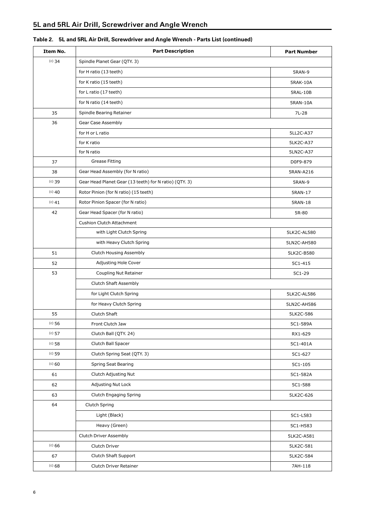| Item No. | <b>Part Description</b>                                | <b>Part Number</b> |
|----------|--------------------------------------------------------|--------------------|
| $(c)$ 34 | Spindle Planet Gear (QTY. 3)                           |                    |
|          | for H ratio (13 teeth)                                 | <b>5RAN-9</b>      |
|          | for K ratio (15 teeth)                                 | <b>5RAK-10A</b>    |
|          | for L ratio (17 teeth)                                 | 5RAL-10B           |
|          | for N ratio (14 teeth)                                 | 5RAN-10A           |
| 35       | Spindle Bearing Retainer                               | 7L-28              |
| 36       | <b>Gear Case Assembly</b>                              |                    |
|          | for H or L ratio                                       | 5LL2C-A37          |
|          | for K ratio                                            | 5LK2C-A37          |
|          | for N ratio                                            | 5LN2C-A37          |
| 37       | Grease Fitting                                         | D0F9-879           |
| 38       | Gear Head Assembly (for N ratio)                       | 5RAN-A216          |
| (c) 39   | Gear Head Planet Gear (13 teeth) for N ratio) (QTY. 3) | 5RAN-9             |
| $(c)$ 40 | Rotor Pinion (for N ratio) (15 teeth)                  | 5RAN-17            |
| $(c)$ 41 | Rotor Pinion Spacer (for N ratio)                      | 5RAN-18            |
| 42       | Gear Head Spacer (for N ratio)                         | 5R-80              |
|          | <b>Cushion Clutch Attachment</b>                       |                    |
|          | with Light Clutch Spring                               | 5LK2C-AL580        |
|          | with Heavy Clutch Spring                               | 5LN2C-AH580        |
| 51       | Clutch Housing Assembly                                | 5LK2C-B580         |
| 52       | Adjusting Hole Cover                                   | 5C1-415            |
| 53       | Coupling Nut Retainer                                  | 5C1-29             |
|          | Clutch Shaft Assembly                                  |                    |
|          | for Light Clutch Spring                                | 5LK2C-AL586        |
|          | for Heavy Clutch Spring                                | 5LN2C-AH586        |
| 55       | Clutch Shaft                                           | 5LK2C-586          |
| (c) 56   | Front Clutch Jaw                                       | 5C1-589A           |
| (c) 57   | Clutch Ball (QTY. 24)                                  | RX1-629            |
| (c) 58   | Clutch Ball Spacer                                     | 5C1-401A           |
| $(c)$ 59 | Clutch Spring Seat (QTY. 3)                            | 5C1-627            |
| (c) 60   | Spring Seat Bearing                                    | 5C1-105            |
| 61       | Clutch Adjusting Nut                                   | 5C1-582A           |
| 62       | Adjusting Nut Lock                                     | 5C1-588            |
| 63       | Clutch Engaging Spring                                 | 5LK2C-626          |
| 64       | Clutch Spring                                          |                    |
|          | Light (Black)                                          | 5C1-L583           |
|          | Heavy (Green)                                          | 5C1-H583           |
|          | Clutch Driver Assembly                                 | 5LK2C-A581         |
| (c) 66   | Clutch Driver                                          | 5LK2C-581          |
| 67       | Clutch Shaft Support                                   | 5LK2C-584          |
| (c) 68   | Clutch Driver Retainer                                 | 7AH-118            |

#### **Table 2. 5L and 5RL Air Drill, Screwdriver and Angle Wrench - Parts List (continued)**

r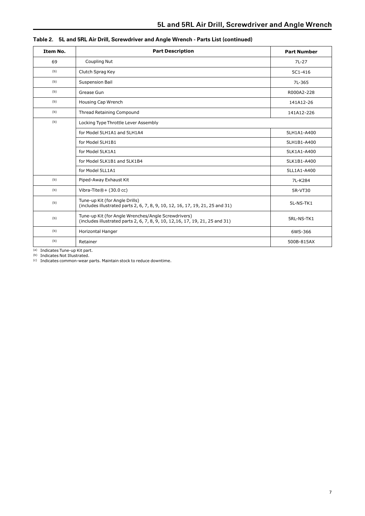| Item No. | <b>Part Description</b>                                                                                                              | <b>Part Number</b> |
|----------|--------------------------------------------------------------------------------------------------------------------------------------|--------------------|
| 69       | <b>Coupling Nut</b>                                                                                                                  | $7L-27$            |
| (b)      | Clutch Sprag Key                                                                                                                     | $5C1 - 416$        |
| (b)      | Suspension Bail                                                                                                                      | 7L-365             |
| (b)      | Grease Gun                                                                                                                           | R000A2-228         |
| (b)      | Housing Cap Wrench                                                                                                                   | 141A12-26          |
| (b)      | Thread Retaining Compound                                                                                                            | 141A12-226         |
| (b)      | Locking Type Throttle Lever Assembly                                                                                                 |                    |
|          | for Model 5LH1A1 and 5LH1A4                                                                                                          | 5LH1A1-A400        |
|          | for Model 5LH1B1                                                                                                                     | 5LH1B1-A400        |
|          | for Model 5LK1A1                                                                                                                     | 5LK1A1-A400        |
|          | for Model 5LK1B1 and 5LK1B4                                                                                                          | 5LK1B1-A400        |
|          | for Model 5LL1A1                                                                                                                     | 5LL1A1-A400        |
| (b)      | Piped-Away Exhaust Kit                                                                                                               | 7L-K284            |
| (b)      | Vibra-Tite $@+$ (30.0 cc)                                                                                                            | 5R-VT30            |
| (b)      | Tune-up Kit (for Angle Drills)<br>(includes illustrated parts 2, 6, 7, 8, 9, 10, 12, 16, 17, 19, 21, 25 and 31)                      | 5L-NS-TK1          |
| (b)      | Tune-up Kit (for Angle Wrenches/Angle Screwdrivers)<br>(includes illustrated parts 2, 6, 7, 8, 9, 10, 12, 16, 17, 19, 21, 25 and 31) | 5RL-NS-TK1         |
| (b)      | <b>Horizontal Hanger</b>                                                                                                             | 6WS-366            |
| (b)      | Retainer                                                                                                                             | 500B-815AX         |

|  |  |  | Table 2. 5L and 5RL Air Drill, Screwdriver and Angle Wrench - Parts List (continued) |
|--|--|--|--------------------------------------------------------------------------------------|
|--|--|--|--------------------------------------------------------------------------------------|

(a) Indicates Tune-up Kit part.

(b) Indicates Not Illustrated.

(c) Indicates common-wear parts. Maintain stock to reduce downtime.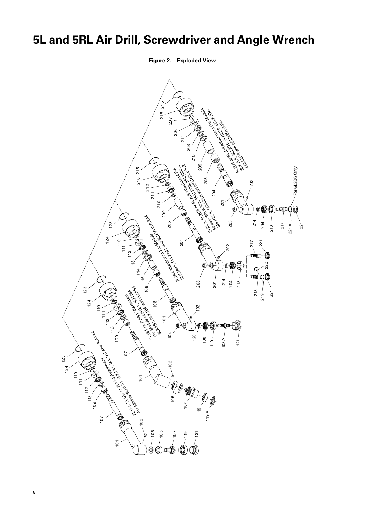## <span id="page-7-0"></span>**5L and 5RL Air Drill, Screwdriver and Angle Wrench**

**Figure 2. Exploded View**

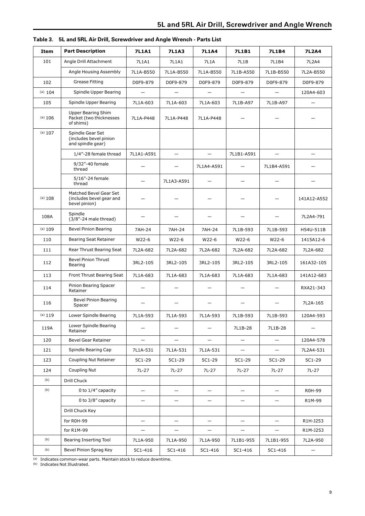<span id="page-8-0"></span>

| Item    | <b>Part Description</b>                                             | <b>7L1A1</b>             | <b>7L1A3</b>             | <b>7L1A4</b>             | <b>7L1B1</b>             | 7L1B4                    | 7L2A4             |
|---------|---------------------------------------------------------------------|--------------------------|--------------------------|--------------------------|--------------------------|--------------------------|-------------------|
| 101     | Angle Drill Attachment                                              | 7L1A1                    | 7L1A1                    | 7L1A                     | 7L1B                     | 7L1B4                    | 7L2A4             |
|         | Angle Housing Assembly                                              | 7L1A-B550                | 7L1A-B550                | 7L1A-B550                | 7L1B-A550                | 7L1B-B550                | 7L2A-B550         |
| 102     | <b>Grease Fitting</b>                                               | D0F9-879                 | D0F9-879                 | D0F9-879                 | D0F9-879                 | D0F9-879                 | D0F9-879          |
| (a) 104 | Spindle Upper Bearing                                               | $\qquad \qquad -$        |                          |                          | $\qquad \qquad -$        |                          | 120A4-603         |
| 105     | Spindle Upper Bearing                                               | 7L1A-603                 | 7L1A-603                 | 7L1A-603                 | 7L1B-A97                 | 7L1B-A97                 | $\qquad \qquad -$ |
| (a) 106 | <b>Upper Bearing Shim</b><br>Packet (two thicknesses<br>of shims)   | 7L1A-P448                | 7L1A-P448                | 7L1A-P448                |                          |                          |                   |
| (a) 107 | Spindle Gear Set<br>(includes bevel pinion<br>and spindle gear)     |                          |                          |                          |                          |                          |                   |
|         | 1/4"-28 female thread                                               | 7L1A1-A591               | —                        | $\overline{\phantom{0}}$ | 7L1B1-A591               |                          |                   |
|         | 9/32"-40 female<br>thread                                           |                          |                          | 7L1A4-A591               |                          | 7L1B4-A591               |                   |
|         | 5/16"-24 female<br>thread                                           |                          | 7L1A3-A591               |                          |                          |                          |                   |
| (a) 108 | Matched Bevel Gear Set<br>(includes bevel gear and<br>bevel pinion) |                          |                          |                          |                          |                          | 141A12-A552       |
| 108A    | Spindle<br>(3/8"-24 male thread)                                    |                          |                          |                          |                          |                          | 7L2A4-791         |
| (a) 109 | <b>Bevel Pinion Bearing</b>                                         | 7AH-24                   | 7AH-24                   | 7AH-24                   | 7L1B-593                 | 7L1B-593                 | H54U-511B         |
| 110     | Bearing Seat Retainer                                               | W22-6                    | W22-6                    | W22-6                    | W22-6                    | W22-6                    | 1415A12-6         |
| 111     | Rear Thrust Bearing Seat                                            | 7L2A-682                 | 7L2A-682                 | 7L2A-682                 | 7L2A-682                 | 7L2A-682                 | 7L2A-682          |
| 112     | <b>Bevel Pinion Thrust</b><br>Bearing                               | 3RL2-105                 | 3RL2-105                 | 3RL2-105                 | 3RL2-105                 | 3RL2-105                 | 161A32-105        |
| 113     | Front Thrust Bearing Seat                                           | 7L1A-683                 | 7L1A-683                 | 7L1A-683                 | 7L1A-683                 | 7L1A-683                 | 141A12-683        |
| 114     | Pinion Bearing Spacer<br>Retainer                                   | —                        |                          | —                        | $\qquad \qquad -$        |                          | RXA21-343         |
| 116     | <b>Bevel Pinion Bearing</b><br>Spacer                               |                          |                          |                          |                          |                          | 7L2A-165          |
| (a) 119 | Lower Spindle Bearing                                               | 7L1A-593                 | 7L1A-593                 | 7L1A-593                 | 7L1B-593                 | 7L1B-593                 | 120A4-593         |
| 119A    | Lower Spindle Bearing<br>Retainer                                   |                          |                          |                          | 7L1B-28                  | 7L1B-28                  |                   |
| 120     | <b>Bevel Gear Retainer</b>                                          | $\overline{\phantom{0}}$ | $\equiv$                 | $\overline{\phantom{0}}$ | $\overline{\phantom{0}}$ | $\overline{\phantom{0}}$ | 120A4-578         |
| 121     | Spindle Bearing Cap                                                 | 7L1A-531                 | 7L1A-531                 | 7L1A-531                 | -                        | $\qquad \qquad -$        | 7L2A4-531         |
| 123     | Coupling Nut Retainer                                               | 5C1-29                   | 5C1-29                   | 5C1-29                   | 5C1-29                   | 5C1-29                   | 5C1-29            |
| 124     | Coupling Nut                                                        | 7L-27                    | 7L-27                    | 7L-27                    | 7L-27                    | 7L-27                    | $7L-27$           |
| (b)     | Drill Chuck                                                         |                          |                          |                          |                          |                          |                   |
| (b)     | 0 to 1/4" capacity                                                  | $\overline{\phantom{0}}$ | $\overline{\phantom{0}}$ | $\overline{\phantom{m}}$ | $\overline{\phantom{m}}$ | $\overline{\phantom{0}}$ | R0H-99            |
|         | 0 to 3/8" capacity                                                  | —                        |                          | $\overline{\phantom{m}}$ | $\overline{\phantom{m}}$ | $\qquad \qquad -$        | R1M-99            |
|         | Drill Chuck Key                                                     |                          |                          |                          |                          |                          |                   |
|         | for R0H-99                                                          | $-$                      | $-$                      | $\equiv$                 | $\overline{\phantom{0}}$ | $-$                      | R1H-J253          |
|         | for R1M-99                                                          | —                        | $\qquad \qquad -$        | $\qquad \qquad -$        | $\qquad \qquad -$        | $\qquad \qquad -$        | R1M-J253          |
| (b)     | <b>Bearing Inserting Tool</b>                                       | 7L1A-950                 | 7L1A-950                 | 7L1A-950                 | 7L1B1-955                | 7L1B1-955                | 7L2A-950          |
| (b)     | Bevel Pinion Sprag Key                                              | 5C1-416                  | 5C1-416                  | 5C1-416                  | 5C1-416                  | 5C1-416                  | —                 |

|  | Table 3. 5L and 5RL Air Drill, Screwdriver and Angle Wrench - Parts List |
|--|--------------------------------------------------------------------------|
|--|--------------------------------------------------------------------------|

<span id="page-8-1"></span>(a) Indicates common-wear parts. Maintain stock to reduce downtime.

(b) Indicates Not Illustrated.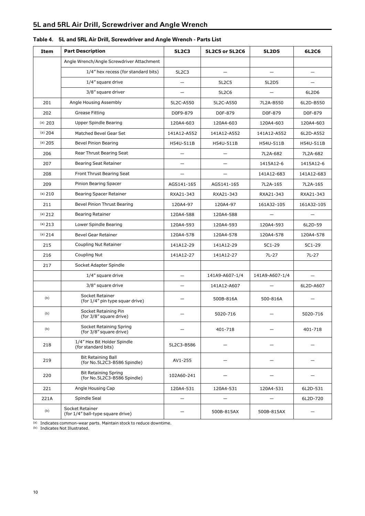<span id="page-9-0"></span>

| Item    | <b>Part Description</b>                                    | <b>5L2C3</b>      | 5L2C5 or 5L2C6 | <b>5L2D5</b>   | 6L2C6      |
|---------|------------------------------------------------------------|-------------------|----------------|----------------|------------|
|         | Angle Wrench/Angle Screwdriver Attachment                  |                   |                |                |            |
|         | 1/4" hex recess (for standard bits)                        | 5L2C3             |                |                |            |
|         | 1/4" square drive                                          | $\equiv$          | 5L2C5          | 5L2D5          |            |
|         | 3/8" square driver                                         |                   | 5L2C6          |                | 6L2D6      |
| 201     | Angle Housing Assembly                                     | 5L2C-A550         | 5L2C-A550      | 7L2A-B550      | 6L2D-B550  |
| 202     | Grease Fitting                                             | D0F9-879          | D0F-879        | D0F-879        | D0F-879    |
| (a) 203 | Upper Spindle Bearing                                      | 120A4-603         | 120A4-603      | 120A4-603      | 120A4-603  |
| (a) 204 | Matched Bevel Gear Set                                     | 141A12-A552       | 141A12-A552    | 141A12-A552    | 6L2D-A552  |
| (a) 205 | Bevel Pinion Bearing                                       | H54U-511B         | H54U-511B      | H54U-511B      | H54U-511B  |
| 206     | Rear Thrust Bearing Seat                                   |                   |                | 7L2A-682       | 7L2A-682   |
| 207     | <b>Bearing Seat Retainer</b>                               | $\qquad \qquad -$ | —              | 1415A12-6      | 1415A12-6  |
| 208     | <b>Front Thrust Bearing Seat</b>                           |                   |                | 141A12-683     | 141A12-683 |
| 209     | Pinion Bearing Spacer                                      | AGS141-165        | AGS141-165     | 7L2A-165       | 7L2A-165   |
| (a) 210 | Bearing Spacer Retainer                                    | RXA21-343         | RXA21-343      | RXA21-343      | RXA21-343  |
| 211     | <b>Bevel Pinion Thrust Bearing</b>                         | 120A4-97          | 120A4-97       | 161A32-105     | 161A32-105 |
| (a) 212 | <b>Bearing Retainer</b>                                    | 120A4-588         | 120A4-588      |                |            |
| (a) 213 | Lower Spindle Bearing                                      | 120A4-593         | 120A4-593      | 120A4-593      | 6L2D-59    |
| (a) 214 | <b>Bevel Gear Retainer</b>                                 | 120A4-578         | 120A4-578      | 120A4-578      | 120A4-578  |
| 215     | Coupling Nut Retainer                                      | 141A12-29         | 141A12-29      | 5C1-29         | 5C1-29     |
| 216     | Coupling Nut                                               | 141A12-27         | 141A12-27      | 7L-27          | 7L-27      |
| 217     | Socket Adapter Spindle                                     |                   |                |                |            |
|         | 1/4" square drive                                          |                   | 141A9-A607-1/4 | 141A9-A607-1/4 |            |
|         | 3/8" square drive                                          | —                 | 141A12-A607    |                | 6L2D-A607  |
| (b)     | Socket Retainer<br>(for 1/4" pin type squar drive)         |                   | 500B-816A      | 500-816A       |            |
| (b)     | Socket Retaining Pin<br>(for 3/8" square drive)            |                   | 5020-716       |                | 5020-716   |
| (b)     | Socket Retaining Spring<br>(for 3/8" square drive)         |                   | 401-718        |                | 401-718    |
| 218     | 1/4" Hex Bit Holder Spindle<br>(for standard bits)         | 5L2C3-B586        |                |                |            |
| 219     | <b>Bit Retaining Ball</b><br>(for No.5L2C3-B586 Spindle)   | AV1-255           |                |                |            |
| 220     | <b>Bit Retaining Spring</b><br>(for No.5L2C3-B586 Spindle) | 102A60-241        |                |                |            |
| 221     | Angle Housing Cap                                          | 120A4-531         | 120A4-531      | 120A4-531      | 6L2D-531   |
| 221A    | Spindle Seal                                               |                   |                |                | 6L2D-720   |
| (b)     | Socket Retainer<br>(for 1/4" ball-type square drive)       |                   | 500B-815AX     | 500B-815AX     |            |

#### **Table 4. 5L and 5RL Air Drill, Screwdriver and Angle Wrench - Parts List**

<span id="page-9-1"></span>(a) Indicates common-wear parts. Maintain stock to reduce downtime.

(b) Indicates Not Illustrated.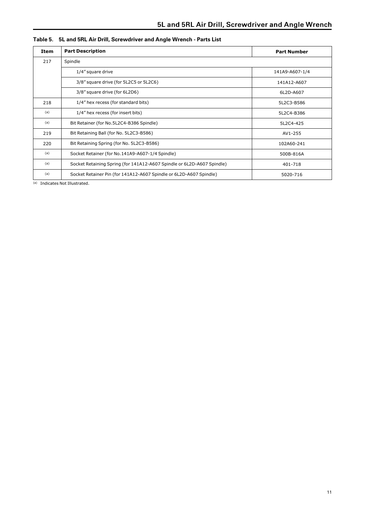<span id="page-10-0"></span>

| Item | <b>Part Description</b>                                                | <b>Part Number</b> |
|------|------------------------------------------------------------------------|--------------------|
| 217  | Spindle                                                                |                    |
|      | 1/4" square drive                                                      | 141A9-A607-1/4     |
|      | 3/8" square drive (for 5L2C5 or 5L2C6)                                 | 141A12-A607        |
|      | 3/8" square drive (for 6L2D6)                                          | 6L2D-A607          |
| 218  | 1/4" hex recess (for standard bits)                                    | 5L2C3-B586         |
| (a)  | 1/4" hex recess (for insert bits)                                      | 5L2C4-B386         |
| (a)  | Bit Retainer (for No.5L2C4-B386 Spindle)                               | 5L2C4-425          |
| 219  | Bit Retaining Ball (for No. 5L2C3-B586)                                | AV1-255            |
| 220  | Bit Retaining Spring (for No. 5L2C3-B586)                              | 102A60-241         |
| (a)  | Socket Retainer (for No.141A9-A607-1/4 Spindle)                        | 500B-816A          |
| (a)  | Socket Retaining Spring (for 141A12-A607 Spindle or 6L2D-A607 Spindle) | 401-718            |
| (a)  | Socket Retainer Pin (for 141A12-A607 Spindle or 6L2D-A607 Spindle)     | 5020-716           |

#### **Table 5. 5L and 5RL Air Drill, Screwdriver and Angle Wrench - Parts List**

(a) Indicates Not Illustrated.